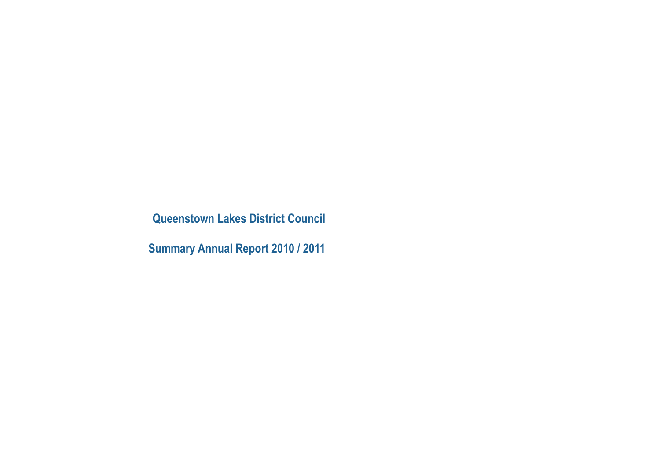**Queenstown Lakes District Council**

**Summary Annual Report 2010 / 2011**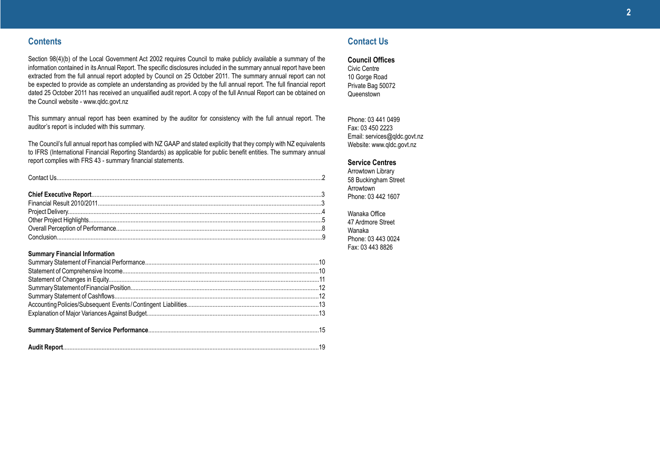### **Contents**

Section 98(4)(b) of the Local Government Act 2002 requires Council to make publicly available a summary of the information contained in its Annual Report. The specific disclosures included in the summary annual report have been extracted from the full annual report adopted by Council on 25 October 2011. The summary annual report can not be expected to provide as complete an understanding as provided by the full annual report. The full financial report dated 25 October 2011 has received an unqualified audit report. A copy of the full Annual Report can be obtained on the Council website - www.qldc.govt.nz

This summary annual report has been examined by the auditor for consistency with the full annual report. The auditor's report is included with this summary.

The Council's full annual report has complied with NZ GAAP and stated explicitly that they comply with NZ equivalents to IFRS (International Financial Reporting Standards) as applicable for public benefit entities. The summary annual report complies with FRS 43 - summary financial statements.

Conclusion.....................................................................................................................................................................9

### **Summary Financial Information**

### **Contact Us**

**Council Offices**

Civic Centre 10 Gorge Road Private Bag 50072 Queenstown

Phone: 03 441 0499 Fax: 03 450 2223 Email: services@qldc.govt.nz Website: www.qldc.govt.nz

### **Service Centres**

Arrowtown Library 58 Buckingham Street Arrowtown Phone: 03 442 1607

Wanaka Office 47 Ardmore Street Wanaka Phone: 03 443 0024 Fax: 03 443 8826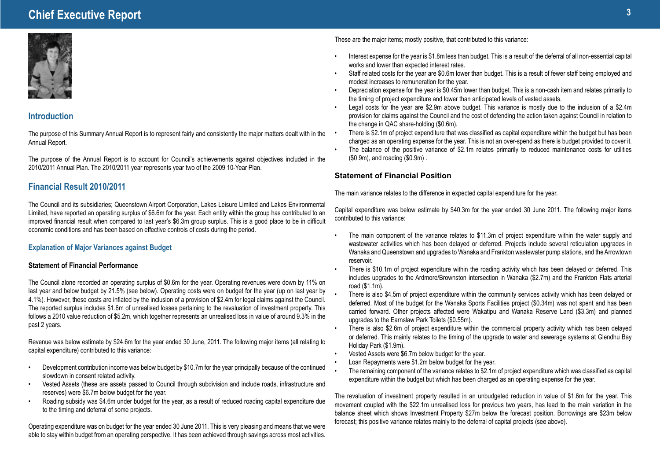## **Chief Executive Report <sup>3</sup>**



### **Introduction**

The purpose of this Summary Annual Report is to represent fairly and consistently the major matters dealt with in the Annual Report.

The purpose of the Annual Report is to account for Council's achievements against objectives included in the 2010/2011 Annual Plan. The 2010/2011 year represents year two of the 2009 10-Year Plan.

### **Financial Result 2010/2011**

The Council and its subsidiaries; Queenstown Airport Corporation, Lakes Leisure Limited and Lakes Environmental Limited, have reported an operating surplus of \$6.6m for the year. Each entity within the group has contributed to an improved financial result when compared to last year's \$6.3m group surplus. This is a good place to be in difficult economic conditions and has been based on effective controls of costs during the period.

### **Explanation of Major Variances against Budget**

### **Statement of Financial Performance**

The Council alone recorded an operating surplus of \$0.6m for the year. Operating revenues were down by 11% on last year and below budget by 21.5% (see below). Operating costs were on budget for the year (up on last year by 4.1%). However, these costs are inflated by the inclusion of a provision of \$2.4m for legal claims against the Council. The reported surplus includes \$1.6m of unrealised losses pertaining to the revaluation of investment property. This follows a 2010 value reduction of \$5.2m, which together represents an unrealised loss in value of around 9.3% in the past 2 years.

Revenue was below estimate by \$24.6m for the year ended 30 June, 2011. The following major items (all relating to capital expenditure) contributed to this variance:

- Development contribution income was below budget by \$10.7m for the year principally because of the continued slowdown in consent related activity.
- Vested Assets (these are assets passed to Council through subdivision and include roads, infrastructure and reserves) were \$6.7m below budget for the year.
- Roading subsidy was \$4.6m under budget for the year, as a result of reduced roading capital expenditure due to the timing and deferral of some projects.

Operating expenditure was on budget for the year ended 30 June 2011. This is very pleasing and means that we were able to stay within budget from an operating perspective. It has been achieved through savings across most activities.

These are the major items; mostly positive, that contributed to this variance:

- Interest expense for the year is \$1.8m less than budget. This is a result of the deferral of all non-essential capital works and lower than expected interest rates.
- Staff related costs for the year are \$0.6m lower than budget. This is a result of fewer staff being employed and modest increases to remuneration for the year.
- Depreciation expense for the year is \$0.45m lower than budget. This is a non-cash item and relates primarily to the timing of project expenditure and lower than anticipated levels of vested assets.
- Legal costs for the year are \$2.9m above budget. This variance is mostly due to the inclusion of a \$2.4m provision for claims against the Council and the cost of defending the action taken against Council in relation to the change in QAC share-holding (\$0.6m).
- There is \$2.1m of project expenditure that was classified as capital expenditure within the budget but has been charged as an operating expense for the year. This is not an over-spend as there is budget provided to cover it.
- The balance of the positive variance of \$2.1m relates primarily to reduced maintenance costs for utilities (\$0.9m), and roading (\$0.9m) .

### **Statement of Financial Position**

The main variance relates to the difference in expected capital expenditure for the year.

Capital expenditure was below estimate by \$40.3m for the year ended 30 June 2011. The following major items contributed to this variance:

- The main component of the variance relates to \$11.3m of project expenditure within the water supply and wastewater activities which has been delayed or deferred. Projects include several reticulation upgrades in Wanaka and Queenstown and upgrades to Wanaka and Frankton wastewater pump stations, and the Arrowtown reservoir.
- There is \$10.1m of project expenditure within the roading activity which has been delayed or deferred. This includes upgrades to the Ardmore/Brownston intersection in Wanaka (\$2.7m) and the Frankton Flats arterial road (\$1.1m).
- There is also \$4.5m of project expenditure within the community services activity which has been delayed or deferred. Most of the budget for the Wanaka Sports Facilities project (\$0.34m) was not spent and has been carried forward. Other projects affected were Wakatipu and Wanaka Reserve Land (\$3.3m) and planned upgrades to the Earnslaw Park Toilets (\$0.55m).
- There is also \$2.6m of project expenditure within the commercial property activity which has been delayed or deferred. This mainly relates to the timing of the upgrade to water and sewerage systems at Glendhu Bay Holiday Park (\$1.9m).
- Vested Assets were \$6.7m below budget for the year.
- Loan Repayments were \$1.2m below budget for the year.
- The remaining component of the variance relates to \$2.1m of project expenditure which was classified as capital expenditure within the budget but which has been charged as an operating expense for the year.

The revaluation of investment property resulted in an unbudgeted reduction in value of \$1.6m for the year. This movement coupled with the \$22.1m unrealised loss for previous two years, has lead to the main variation in the balance sheet which shows Investment Property \$27m below the forecast position. Borrowings are \$23m below forecast; this positive variance relates mainly to the deferral of capital projects (see above).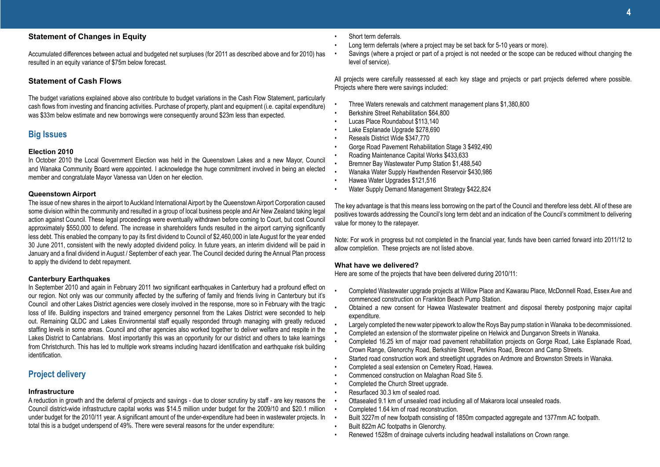### **Statement of Changes in Equity**

Accumulated differences between actual and budgeted net surpluses (for 2011 as described above and for 2010) has resulted in an equity variance of \$75m below forecast.

### **Statement of Cash Flows**

The budget variations explained above also contribute to budget variations in the Cash Flow Statement, particularly cash flows from investing and financing activities. Purchase of property, plant and equipment (i.e. capital expenditure) was \$33m below estimate and new borrowings were consequently around \$23m less than expected.

### **Big Issues**

### **Election 2010**

In October 2010 the Local Government Election was held in the Queenstown Lakes and a new Mayor, Council and Wanaka Community Board were appointed. I acknowledge the huge commitment involved in being an elected member and congratulate Mayor Vanessa van Uden on her election.

### **Queenstown Airport**

The issue of new shares in the airport to Auckland International Airport by the Queenstown Airport Corporation caused some division within the community and resulted in a group of local business people and Air New Zealand taking legal action against Council. These legal proceedings were eventually withdrawn before coming to Court, but cost Council approximately \$550,000 to defend. The increase in shareholders funds resulted in the airport carrying significantly less debt. This enabled the company to pay its first dividend to Council of \$2,460,000 in late August for the year ended 30 June 2011, consistent with the newly adopted dividend policy. In future years, an interim dividend will be paid in January and a final dividend in August / September of each year. The Council decided during the Annual Plan process to apply the dividend to debt repayment.

### **Canterbury Earthquakes**

In September 2010 and again in February 2011 two significant earthquakes in Canterbury had a profound effect on our region. Not only was our community affected by the suffering of family and friends living in Canterbury but it's Council and other Lakes District agencies were closely involved in the response, more so in February with the tragic loss of life. Building inspectors and trained emergency personnel from the Lakes District were seconded to help out. Remaining QLDC and Lakes Environmental staff equally responded through managing with greatly reduced staffing levels in some areas. Council and other agencies also worked together to deliver welfare and respite in the Lakes District to Cantabrians. Most importantly this was an opportunity for our district and others to take learnings from Christchurch. This has led to multiple work streams including hazard identification and earthquake risk building identification.

### **Project delivery**

### **Infrastructure**

A reduction in growth and the deferral of projects and savings - due to closer scrutiny by staff - are key reasons the Council district-wide infrastructure capital works was \$14.5 million under budget for the 2009/10 and \$20.1 million under budget for the 2010/11 year. A significant amount of the under-expenditure had been in wastewater projects. In total this is a budget underspend of 49%. There were several reasons for the under expenditure:

- Short term deferrals.
- Long term deferrals (where a project may be set back for 5-10 years or more).
- Savings (where a project or part of a project is not needed or the scope can be reduced without changing the level of service).

All projects were carefully reassessed at each key stage and projects or part projects deferred where possible. Projects where there were savings included:

- Three Waters renewals and catchment management plans \$1,380,800
- Berkshire Street Rehabilitation \$64,800
- Lucas Place Roundabout \$113,140
- Lake Esplanade Upgrade \$278,690
- Reseals District Wide \$347,770
- Gorge Road Pavement Rehabilitation Stage 3 \$492,490
- Roading Maintenance Capital Works \$433,633
- Bremner Bay Wastewater Pump Station \$1,488,540
- Wanaka Water Supply Hawthenden Reservoir \$430,986
- Hawea Water Upgrades \$121,516
- Water Supply Demand Management Strategy \$422,824

The key advantage is that this means less borrowing on the part of the Council and therefore less debt. All of these are positives towards addressing the Council's long term debt and an indication of the Council's commitment to delivering value for money to the ratepayer.

Note: For work in progress but not completed in the financial year, funds have been carried forward into 2011/12 to allow completion. These projects are not listed above.

### **What have we delivered?**

Here are some of the projects that have been delivered during 2010/11:

- Completed Wastewater upgrade projects at Willow Place and Kawarau Place, McDonnell Road, Essex Ave and commenced construction on Frankton Beach Pump Station.
- Obtained a new consent for Hawea Wastewater treatment and disposal thereby postponing major capital expenditure.
- Largely completed the new water pipework to allow the Roys Bay pump station in Wanaka to be decommissioned.
- Completed an extension of the stormwater pipeline on Helwick and Dungarvon Streets in Wanaka.
- Completed 16.25 km of major road pavement rehabilitation projects on Gorge Road, Lake Esplanade Road, Crown Range, Glenorchy Road, Berkshire Street, Perkins Road, Brecon and Camp Streets.
- Started road construction work and streetlight upgrades on Ardmore and Brownston Streets in Wanaka.
- Completed a seal extension on Cemetery Road, Hawea.
- Commenced construction on Malaghan Road Site 5.
- Completed the Church Street upgrade.
- Resurfaced 30.3 km of sealed road.
- Ottasealed 9.1 km of unsealed road including all of Makarora local unsealed roads.
- Completed 1.64 km of road reconstruction.
- Built 3227m of new footpath consisting of 1850m compacted aggregate and 1377mm AC footpath.
- Built 822m AC footpaths in Glenorchy.
- Renewed 1528m of drainage culverts including headwall installations on Crown range.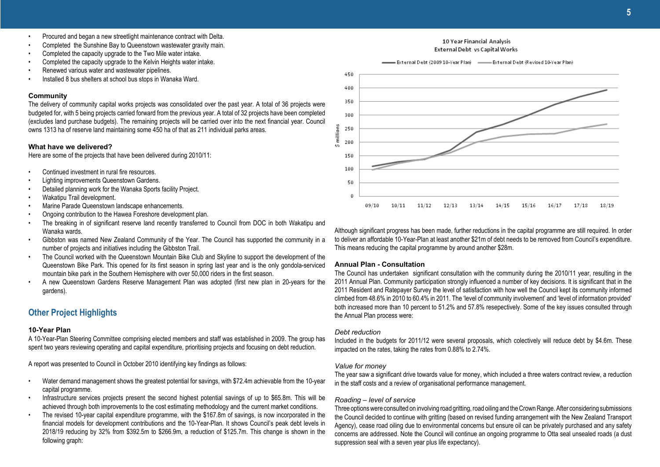- Procured and began a new streetlight maintenance contract with Delta.
- Completed the Sunshine Bay to Queenstown wastewater gravity main.
- Completed the capacity upgrade to the Two Mile water intake.
- Completed the capacity upgrade to the Kelvin Heights water intake.
- Renewed various water and wastewater pipelines.
- Installed 8 bus shelters at school bus stops in Wanaka Ward.

### **Community**

The delivery of community capital works projects was consolidated over the past year. A total of 36 projects were budgeted for, with 5 being projects carried forward from the previous year. A total of 32 projects have been completed (excludes land purchase budgets). The remaining projects will be carried over into the next financial year. Council owns 1313 ha of reserve land maintaining some 450 ha of that as 211 individual parks areas.

### **What have we delivered?**

Here are some of the projects that have been delivered during 2010/11:

- Continued investment in rural fire resources.
- Lighting improvements Queenstown Gardens.
- Detailed planning work for the Wanaka Sports facility Project.
- Wakatipu Trail development.
- Marine Parade Queenstown landscape enhancements.
- Ongoing contribution to the Hawea Foreshore development plan.
- The breaking in of significant reserve land recently transferred to Council from DOC in both Wakatipu and Wanaka wards.
- Gibbston was named New Zealand Community of the Year. The Council has supported the community in a number of projects and initiatives including the Gibbston Trail.
- The Council worked with the Queenstown Mountain Bike Club and Skyline to support the development of the Queenstown Bike Park. This opened for its first season in spring last year and is the only gondola-serviced mountain bike park in the Southern Hemisphere with over 50,000 riders in the first season.
- A new Queenstown Gardens Reserve Management Plan was adopted (first new plan in 20-years for the gardens).

### **Other Project Highlights**

### **10-Year Plan**

A 10-Year-Plan Steering Committee comprising elected members and staff was established in 2009. The group has spent two years reviewing operating and capital expenditure, prioritising projects and focusing on debt reduction.

A report was presented to Council in October 2010 identifying key findings as follows:

- Water demand management shows the greatest potential for savings, with \$72.4m achievable from the 10-year capital programme.
- Infrastructure services projects present the second highest potential savings of up to \$65.8m. This will be achieved through both improvements to the cost estimating methodology and the current market conditions.
- The revised 10-year capital expenditure programme, with the \$167.8m of savings, is now incorporated in the financial models for development contributions and the 10-Year-Plan. It shows Council's peak debt levels in 2018/19 reducing by 32% from \$392.5m to \$266.9m, a reduction of \$125.7m. This change is shown in the following graph:



10 Year Financial Analysis

Although significant progress has been made, further reductions in the capital programme are still required. In order to deliver an affordable 10-Year-Plan at least another \$21m of debt needs to be removed from Council's expenditure. This means reducing the capital programme by around another \$28m.

### **Annual Plan - Consultation**

The Council has undertaken significant consultation with the community during the 2010/11 year, resulting in the 2011 Annual Plan. Community participation strongly influenced a number of key decisions. It is significant that in the 2011 Resident and Ratepayer Survey the level of satisfaction with how well the Council kept its community informed climbed from 48.6% in 2010 to 60.4% in 2011. The 'level of community involvement' and 'level of information provided' both increased more than 10 percent to 51.2% and 57.8% resepectively. Some of the key issues consulted through the Annual Plan process were:

### *Debt reduction*

Included in the budgets for 2011/12 were several proposals, which colectively will reduce debt by \$4.6m. These impacted on the rates, taking the rates from 0.88% to 2.74%.

### *Value for money*

The year saw a significant drive towards value for money, which included a three waters contract review, a reduction in the staff costs and a review of organisational performance management.

### *Roading – level of service*

Three options were consulted on involving road gritting, road oiling and the Crown Range. After considering submissions the Council decided to continue with gritting (based on revised funding arrangement with the New Zealand Transport Agency), cease road oiling due to environmental concerns but ensure oil can be privately purchased and any safety concerns are addressed. Note the Council will continue an ongoing programme to Otta seal unsealed roads (a dust suppression seal with a seven year plus life expectancy).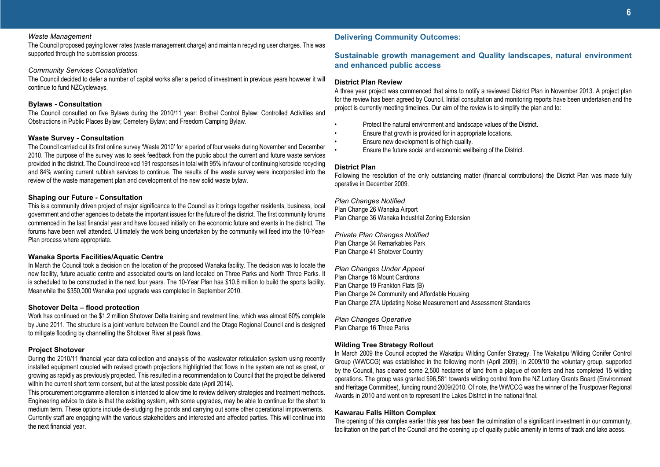### *Waste Management*

The Council proposed paying lower rates (waste management charge) and maintain recycling user charges. This was supported through the submission process.

### *Community Services Consolidation*

The Council decided to defer a number of capital works after a period of investment in previous years however it will continue to fund NZCycleways.

### **Bylaws - Consultation**

The Council consulted on five Bylaws during the 2010/11 year: Brothel Control Bylaw; Controlled Activities and Obstructions in Public Places Bylaw; Cemetery Bylaw; and Freedom Camping Bylaw.

### **Waste Survey - Consultation**

The Council carried out its first online survey 'Waste 2010' for a period of four weeks during November and December 2010. The purpose of the survey was to seek feedback from the public about the current and future waste services provided in the district. The Council received 191 responses in total with 95% in favour of continuing kerbside recycling and 84% wanting current rubbish services to continue. The results of the waste survey were incorporated into the review of the waste management plan and development of the new solid waste bylaw.

### **Shaping our Future - Consultation**

This is a community driven project of major significance to the Council as it brings together residents, business, local government and other agencies to debate the important issues for the future of the district. The first community forums commenced in the last financial year and have focused initially on the economic future and events in the district. The forums have been well attended. Ultimately the work being undertaken by the community will feed into the 10-Year-Plan process where appropriate.

### **Wanaka Sports Facilities/Aquatic Centre**

In March the Council took a decision on the location of the proposed Wanaka facility. The decision was to locate the new facility, future aquatic centre and associated courts on land located on Three Parks and North Three Parks. It is scheduled to be constructed in the next four years. The 10-Year Plan has \$10.6 million to build the sports facility. Meanwhile the \$350,000 Wanaka pool upgrade was completed in September 2010.

### **Shotover Delta – flood protection**

Work has continued on the \$1.2 million Shotover Delta training and revetment line, which was almost 60% complete by June 2011. The structure is a joint venture between the Council and the Otago Regional Council and is designed to mitigate flooding by channelling the Shotover River at peak flows.

### **Project Shotover**

During the 2010/11 financial year data collection and analysis of the wastewater reticulation system using recently installed equipment coupled with revised growth projections highlighted that flows in the system are not as great, or growing as rapidly as previously projected. This resulted in a recommendation to Council that the project be delivered within the current short term consent, but at the latest possible date (April 2014).

This procurement programme alteration is intended to allow time to review delivery strategies and treatment methods. Engineering advice to date is that the existing system, with some upgrades, may be able to continue for the short to medium term. These options include de-sludging the ponds and carrying out some other operational improvements. Currently staff are engaging with the various stakeholders and interested and affected parties. This will continue into the next financial year.

### **Delivering Community Outcomes:**

### **Sustainable growth management and Quality landscapes, natural environment and enhanced public access**

### **District Plan Review**

A three year project was commenced that aims to notify a reviewed District Plan in November 2013. A project plan for the review has been agreed by Council. Initial consultation and monitoring reports have been undertaken and the project is currently meeting timelines. Our aim of the review is to simplify the plan and to:

- Protect the natural environment and landscape values of the District.
- Ensure that growth is provided for in appropriate locations.
- Ensure new development is of high quality.
- Ensure the future social and economic wellbeing of the District.

### **District Plan**

Following the resolution of the only outstanding matter (financial contributions) the District Plan was made fully operative in December 2009.

### *Plan Changes Notified*

Plan Change 26 Wanaka Airport Plan Change 36 Wanaka Industrial Zoning Extension

*Private Plan Changes Notified* Plan Change 34 Remarkables Park Plan Change 41 Shotover Country

*Plan Changes Under Appeal* Plan Change 18 Mount Cardrona Plan Change 19 Frankton Flats (B) Plan Change 24 Community and Affordable Housing Plan Change 27A Updating Noise Measurement and Assessment Standards

*Plan Changes Operative* Plan Change 16 Three Parks

### **Wilding Tree Strategy Rollout**

In March 2009 the Council adopted the Wakatipu Wilding Conifer Strategy. The Wakatipu Wilding Conifer Control Group (WWCCG) was established in the following month (April 2009). In 2009/10 the voluntary group, supported by the Council, has cleared some 2,500 hectares of land from a plague of conifers and has completed 15 wilding operations. The group was granted \$96,581 towards wilding control from the NZ Lottery Grants Board (Environment and Heritage Committee), funding round 2009/2010. Of note, the WWCCG was the winner of the Trustpower Regional Awards in 2010 and went on to represent the Lakes District in the national final.

### **Kawarau Falls Hilton Complex**

The opening of this complex earlier this year has been the culmination of a significant investment in our community, facilitation on the part of the Council and the opening up of quality public amenity in terms of track and lake acess.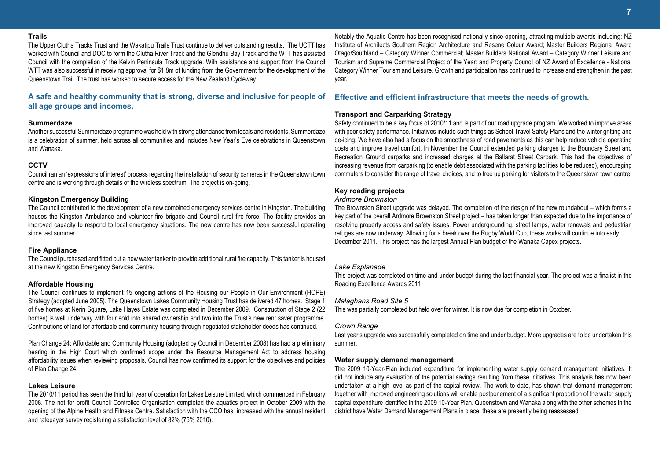### **Trails**

The Upper Clutha Tracks Trust and the Wakatipu Trails Trust continue to deliver outstanding results. The UCTT has worked with Council and DOC to form the Clutha River Track and the Glendhu Bay Track and the WTT has assisted Council with the completion of the Kelvin Peninsula Track upgrade. With assistance and support from the Council WTT was also successful in receiving approval for \$1.8m of funding from the Government for the development of the Queenstown Trail. The trust has worked to secure access for the New Zealand Cycleway.

**A safe and healthy community that is strong, diverse and inclusive for people of all age groups and incomes.**

### **Summerdaze**

Another successful Summerdaze programme was held with strong attendance from locals and residents. Summerdaze is a celebration of summer, held across all communities and includes New Year's Eve celebrations in Queenstown and Wanaka.

### **CCTV**

Council ran an 'expressions of interest' process regarding the installation of security cameras in the Queenstown town centre and is working through details of the wireless spectrum. The project is on-going.

### **Kingston Emergency Building**

The Council contributed to the development of a new combined emergency services centre in Kingston. The building houses the Kingston Ambulance and volunteer fire brigade and Council rural fire force. The facility provides an improved capacity to respond to local emergency situations. The new centre has now been successful operating since last summer.

### **Fire Appliance**

The Council purchased and fitted out a new water tanker to provide additional rural fire capacity. This tanker is housed at the new Kingston Emergency Services Centre.

### **Affordable Housing**

The Council continues to implement 15 ongoing actions of the Housing our People in Our Environment (HOPE) Strategy (adopted June 2005). The Queenstown Lakes Community Housing Trust has delivered 47 homes. Stage 1 of five homes at Nerin Square, Lake Hayes Estate was completed in December 2009. Construction of Stage 2 (22 homes) is well underway with four sold into shared ownership and two into the Trust's new rent saver programme. Contributions of land for affordable and community housing through negotiated stakeholder deeds has continued.

Plan Change 24: Affordable and Community Housing (adopted by Council in December 2008) has had a preliminary hearing in the High Court which confirmed scope under the Resource Management Act to address housing affordability issues when reviewing proposals. Council has now confirmed its support for the objectives and policies of Plan Change 24.

### **Lakes Leisure**

The 2010/11 period has seen the third full year of operation for Lakes Leisure Limited, which commenced in February 2008. The not for profit Council Controlled Organisation completed the aquatics project in October 2009 with the opening of the Alpine Health and Fitness Centre. Satisfaction with the CCO has increased with the annual resident and ratepayer survey registering a satisfaction level of 82% (75% 2010).

Notably the Aquatic Centre has been recognised nationally since opening, attracting multiple awards including: NZ Institute of Architects Southern Region Architecture and Resene Colour Award; Master Builders Regional Award Otago/Southland – Category Winner Commercial; Master Builders National Award – Category Winner Leisure and Tourism and Supreme Commercial Project of the Year; and Property Council of NZ Award of Excellence - National Category Winner Tourism and Leisure. Growth and participation has continued to increase and strengthen in the past year.

### **Effective and efficient infrastructure that meets the needs of growth.**

### **Transport and Carparking Strategy**

Safety continued to be a key focus of 2010/11 and is part of our road upgrade program. We worked to improve areas with poor safety performance. Initiatives include such things as School Travel Safety Plans and the winter gritting and de-icing. We have also had a focus on the smoothness of road pavements as this can help reduce vehicle operating costs and improve travel comfort. In November the Council extended parking charges to the Boundary Street and Recreation Ground carparks and increased charges at the Ballarat Street Carpark. This had the objectives of increasing revenue from carparking (to enable debt associated with the parking facilities to be reduced), encouraging commuters to consider the range of travel choices, and to free up parking for visitors to the Queenstown town centre.

### **Key roading projects**

### *Ardmore Brownston*

The Brownston Street upgrade was delayed. The completion of the design of the new roundabout – which forms a key part of the overall Ardmore Brownston Street project – has taken longer than expected due to the importance of resolving property access and safety issues. Power undergrounding, street lamps, water renewals and pedestrian refuges are now underway. Allowing for a break over the Rugby World Cup, these works will continue into early December 2011. This project has the largest Annual Plan budget of the Wanaka Capex projects.

### *Lake Esplanade*

This project was completed on time and under budget during the last financial year. The project was a finalist in the Roading Excellence Awards 2011.

### *Malaghans Road Site 5*

This was partially completed but held over for winter. It is now due for completion in October.

### *Crown Range*

Last year's upgrade was successfully completed on time and under budget. More upgrades are to be undertaken this summer.

### **Water supply demand management**

The 2009 10-Year-Plan included expenditure for implementing water supply demand management initiatives. It did not include any evaluation of the potential savings resulting from these initiatives. This analysis has now been undertaken at a high level as part of the capital review. The work to date, has shown that demand management together with improved engineering solutions will enable postponement of a significant proportion of the water supply capital expenditure identified in the 2009 10-Year Plan. Queenstown and Wanaka along with the other schemes in the district have Water Demand Management Plans in place, these are presently being reassessed.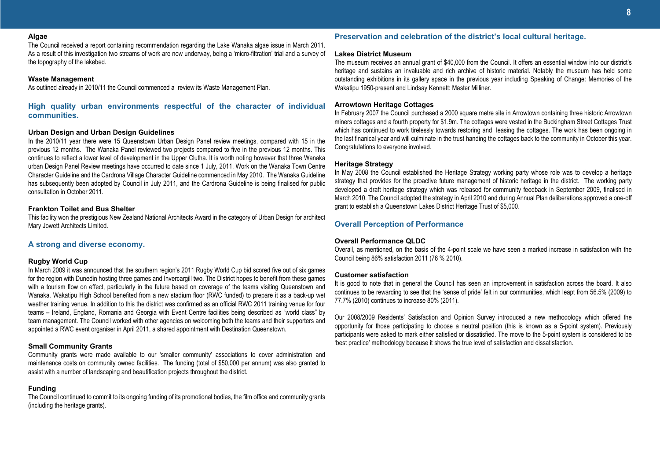### **Algae**

The Council received a report containing recommendation regarding the Lake Wanaka algae issue in March 2011. As a result of this investigation two streams of work are now underway, being a 'micro-filtration' trial and a survey of the topography of the lakebed.

### **Waste Management**

As outlined already in 2010/11 the Council commenced a review its Waste Management Plan.

**High quality urban environments respectful of the character of individual communities.**

### **Urban Design and Urban Design Guidelines**

In the 2010/11 year there were 15 Queenstown Urban Design Panel review meetings, compared with 15 in the previous 12 months. The Wanaka Panel reviewed two projects compared to five in the previous 12 months. This continues to reflect a lower level of development in the Upper Clutha. It is worth noting however that three Wanaka urban Design Panel Review meetings have occurred to date since 1 July, 2011. Work on the Wanaka Town Centre Character Guideline and the Cardrona Village Character Guideline commenced in May 2010. The Wanaka Guideline has subsequently been adopted by Council in July 2011, and the Cardrona Guideline is being finalised for public consultation in October 2011.

### **Frankton Toilet and Bus Shelter**

This facility won the prestigious New Zealand National Architects Award in the category of Urban Design for architect Mary Jowett Architects Limited.

### **A strong and diverse economy.**

### **Rugby World Cup**

In March 2009 it was announced that the southern region's 2011 Rugby World Cup bid scored five out of six games for the region with Dunedin hosting three games and Invercargill two. The District hopes to benefit from these games with a tourism flow on effect, particularly in the future based on coverage of the teams visiting Queenstown and Wanaka. Wakatipu High School benefited from a new stadium floor (RWC funded) to prepare it as a back-up wet weather training venue. In addition to this the district was confirmed as an official RWC 2011 training venue for four teams – Ireland, England, Romania and Georgia with Event Centre facilities being described as "world class" by team management. The Council worked with other agencies on welcoming both the teams and their supporters and appointed a RWC event organiser in April 2011, a shared appointment with Destination Queenstown.

### **Small Community Grants**

Community grants were made available to our 'smaller community' associations to cover administration and maintenance costs on community owned facilities. The funding (total of \$50,000 per annum) was also granted to assist with a number of landscaping and beautification projects throughout the district.

### **Funding**

The Council continued to commit to its ongoing funding of its promotional bodies, the film office and community grants (including the heritage grants).

### **Preservation and celebration of the district's local cultural heritage.**

### **Lakes District Museum**

The museum receives an annual grant of \$40,000 from the Council. It offers an essential window into our district's heritage and sustains an invaluable and rich archive of historic material. Notably the museum has held some outstanding exhibitions in its gallery space in the previous year including Speaking of Change: Memories of the Wakatipu 1950-present and Lindsay Kennett: Master Milliner.

### **Arrowtown Heritage Cottages**

In February 2007 the Council purchased a 2000 square metre site in Arrowtown containing three historic Arrowtown miners cottages and a fourth property for \$1.9m. The cottages were vested in the Buckingham Street Cottages Trust which has continued to work tirelessly towards restoring and leasing the cottages. The work has been ongoing in the last finanical year and will culminate in the trust handing the cottages back to the community in October this year. Congratulations to everyone involved.

### **Heritage Strategy**

In May 2008 the Council established the Heritage Strategy working party whose role was to develop a heritage strategy that provides for the proactive future management of historic heritage in the district. The working party developed a draft heritage strategy which was released for community feedback in September 2009, finalised in March 2010. The Council adopted the strategy in April 2010 and during Annual Plan deliberations approved a one-off grant to establish a Queenstown Lakes District Heritage Trust of \$5,000.

### **Overall Perception of Performance**

### **Overall Performance QLDC**

Overall, as mentioned, on the basis of the 4-point scale we have seen a marked increase in satisfaction with the Council being 86% satisfaction 2011 (76 % 2010).

### **Customer satisfaction**

It is good to note that in general the Council has seen an improvement in satisfaction across the board. It also continues to be rewarding to see that the 'sense of pride' felt in our communities, which leapt from 56.5% (2009) to 77.7% (2010) continues to increase 80% (2011).

Our 2008/2009 Residents' Satisfaction and Opinion Survey introduced a new methodology which offered the opportunity for those participating to choose a neutral position (this is known as a 5-point system). Previously participants were asked to mark either satisfied or dissatisfied. The move to the 5-point system is considered to be 'best practice' methodology because it shows the true level of satisfaction and dissatisfaction.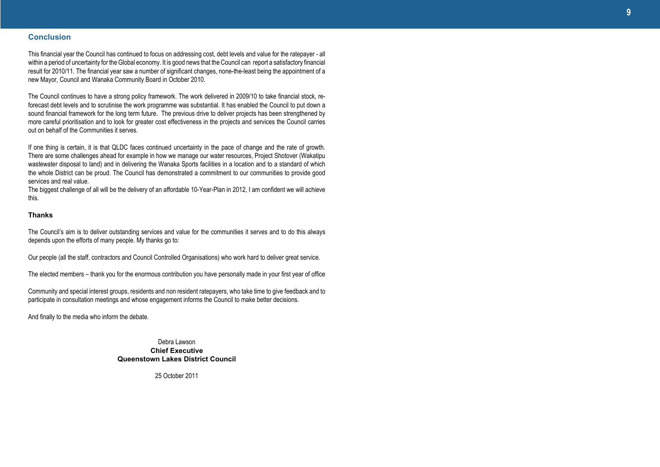### **Conclusion**

This financial year the Council has continued to focus on addressing cost, debt levels and value for the ratepayer - all within a period of uncertainty for the Global economy. It is good news that the Council can report a satisfactory financial result for 2010/11. The financial year saw a number of significant changes, none-the-least being the appointment of a new Mayor, Council and Wanaka Community Board in October 2010.

The Council continues to have a strong policy framework. The work delivered in 2009/10 to take financial stock, reforecast debt levels and to scrutinise the work programme was substantial. It has enabled the Council to put down a sound financial framework for the long term future. The previous drive to deliver projects has been strengthened by more careful prioritisation and to look for greater cost effectiveness in the projects and services the Council carries out on behalf of the Communities it serves.

If one thing is certain, it is that QLDC faces continued uncertainty in the pace of change and the rate of growth. There are some challenges ahead for example in how we manage our water resources, Project Shotover (Wakatipu wastewater disposal to land) and in delivering the Wanaka Sports facilities in a location and to a standard of which the whole District can be proud. The Council has demonstrated a commitment to our communities to provide good services and real value.

The biggest challenge of all will be the delivery of an affordable 10-Year-Plan in 2012, I am confident we will achieve this.

### **Thanks**

The Council's aim is to deliver outstanding services and value for the communities it serves and to do this always depends upon the efforts of many people. My thanks go to:

Our people (all the staff, contractors and Council Controlled Organisations) who work hard to deliver great service.

The elected members – thank you for the enormous contribution you have personally made in your first year of office

Community and special interest groups, residents and non resident ratepayers, who take time to give feedback and to participate in consultation meetings and whose engagement informs the Council to make better decisions.

And finally to the media who inform the debate.

Debra Lawson **Chief Executive Queenstown Lakes District Council**

25 October 2011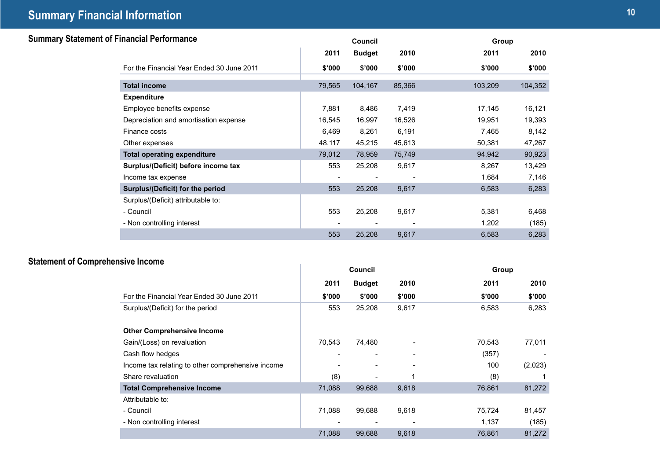## **10 Summary Financial Information**

| <b>Summary Statement of Financial Performance</b> |                                           |        | Council       |        | Group   |         |
|---------------------------------------------------|-------------------------------------------|--------|---------------|--------|---------|---------|
|                                                   |                                           | 2011   | <b>Budget</b> | 2010   | 2011    | 2010    |
|                                                   | For the Financial Year Ended 30 June 2011 | \$'000 | \$'000        | \$'000 | \$'000  | \$'000  |
|                                                   | <b>Total income</b>                       | 79,565 | 104,167       | 85,366 | 103,209 | 104,352 |
|                                                   | <b>Expenditure</b>                        |        |               |        |         |         |
|                                                   | Employee benefits expense                 | 7,881  | 8,486         | 7,419  | 17,145  | 16,121  |
|                                                   | Depreciation and amortisation expense     | 16,545 | 16,997        | 16,526 | 19,951  | 19,393  |
|                                                   | Finance costs                             | 6,469  | 8,261         | 6,191  | 7,465   | 8,142   |
|                                                   | Other expenses                            | 48,117 | 45,215        | 45,613 | 50,381  | 47,267  |
|                                                   | <b>Total operating expenditure</b>        | 79,012 | 78,959        | 75,749 | 94,942  | 90,923  |
|                                                   | Surplus/(Deficit) before income tax       | 553    | 25,208        | 9,617  | 8,267   | 13,429  |
|                                                   | Income tax expense                        |        |               |        | 1,684   | 7,146   |
|                                                   | Surplus/(Deficit) for the period          | 553    | 25,208        | 9,617  | 6,583   | 6,283   |
|                                                   | Surplus/(Deficit) attributable to:        |        |               |        |         |         |
|                                                   | - Council                                 | 553    | 25,208        | 9,617  | 5,381   | 6,468   |
|                                                   | - Non controlling interest                |        |               |        | 1,202   | (185)   |
|                                                   |                                           | 553    | 25,208        | 9,617  | 6,583   | 6,283   |

## **Statement of Comprehensive Income**

| sive income                                       |        | Council                  |        | Group  |         |
|---------------------------------------------------|--------|--------------------------|--------|--------|---------|
|                                                   | 2011   | <b>Budget</b>            | 2010   | 2011   | 2010    |
| For the Financial Year Ended 30 June 2011         | \$'000 | \$'000                   | \$'000 | \$'000 | \$'000  |
| Surplus/(Deficit) for the period                  | 553    | 25,208                   | 9,617  | 6,583  | 6,283   |
| <b>Other Comprehensive Income</b>                 |        |                          |        |        |         |
| Gain/(Loss) on revaluation                        | 70,543 | 74,480                   |        | 70,543 | 77,011  |
| Cash flow hedges                                  |        |                          |        | (357)  |         |
| Income tax relating to other comprehensive income |        |                          |        | 100    | (2,023) |
| Share revaluation                                 | (8)    | $\overline{\phantom{0}}$ |        | (8)    |         |
| <b>Total Comprehensive Income</b>                 | 71,088 | 99,688                   | 9,618  | 76,861 | 81,272  |
| Attributable to:                                  |        |                          |        |        |         |
| - Council                                         | 71,088 | 99,688                   | 9,618  | 75,724 | 81,457  |
| - Non controlling interest                        |        |                          |        | 1,137  | (185)   |
|                                                   | 71,088 | 99,688                   | 9,618  | 76,861 | 81,272  |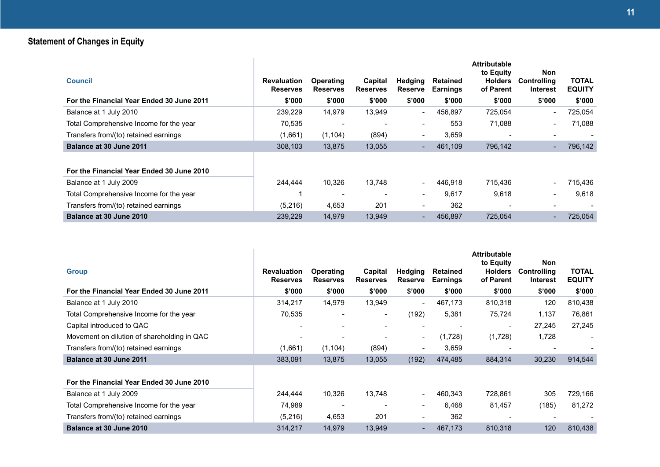## **Statement of Changes in Equity**

| <b>Council</b><br>For the Financial Year Ended 30 June 2011 | <b>Revaluation</b><br><b>Reserves</b><br>\$'000 | <b>Operating</b><br><b>Reserves</b><br>\$'000 | Capital<br><b>Reserves</b><br>\$'000 | Hedging<br><b>Reserve</b><br>\$'000 | <b>Retained</b><br><b>Earnings</b><br>\$'000 | <b>Attributable</b><br>to Equity<br><b>Holders</b><br>of Parent<br>\$'000 | <b>Non</b><br><b>Controlling</b><br>Interest<br>\$'000 | <b>TOTAL</b><br><b>EQUITY</b><br>\$'000 |
|-------------------------------------------------------------|-------------------------------------------------|-----------------------------------------------|--------------------------------------|-------------------------------------|----------------------------------------------|---------------------------------------------------------------------------|--------------------------------------------------------|-----------------------------------------|
| Balance at 1 July 2010                                      | 239,229                                         | 14,979                                        | 13,949                               | $\overline{\phantom{a}}$            | 456,897                                      | 725,054                                                                   | $\overline{\phantom{0}}$                               | 725,054                                 |
| Total Comprehensive Income for the year                     | 70.535                                          | $\overline{\phantom{a}}$                      | $\overline{\phantom{0}}$             | $\overline{\phantom{a}}$            | 553                                          | 71.088                                                                    | Ξ.                                                     | 71.088                                  |
| Transfers from/(to) retained earnings                       | (1,661)                                         | (1, 104)                                      | (894)                                | $\overline{\phantom{a}}$            | 3,659                                        |                                                                           | ۰                                                      |                                         |
| Balance at 30 June 2011                                     | 308,103                                         | 13,875                                        | 13,055                               | $\overline{\phantom{a}}$            | 461,109                                      | 796,142                                                                   |                                                        | 796,142                                 |
| For the Financial Year Ended 30 June 2010                   |                                                 |                                               |                                      |                                     |                                              |                                                                           |                                                        |                                         |
| Balance at 1 July 2009                                      | 244,444                                         | 10.326                                        | 13.748                               | $\overline{\phantom{a}}$            | 446.918                                      | 715,436                                                                   |                                                        | 715.436                                 |
| Total Comprehensive Income for the year                     |                                                 | $\overline{\phantom{a}}$                      | $\overline{\phantom{0}}$             | $\overline{\phantom{a}}$            | 9,617                                        | 9,618                                                                     | Ξ.                                                     | 9,618                                   |
| Transfers from/(to) retained earnings                       | (5,216)                                         | 4,653                                         | 201                                  | $\overline{\phantom{a}}$            | 362                                          |                                                                           | -                                                      |                                         |
| Balance at 30 June 2010                                     | 239.229                                         | 14.979                                        | 13.949                               | ٠                                   | 456.897                                      | 725.054                                                                   |                                                        | 725.054                                 |

| <b>Group</b>                                | <b>Revaluation</b><br><b>Reserves</b> | <b>Operating</b><br><b>Reserves</b> | Capital<br><b>Reserves</b> | Hedging<br><b>Reserve</b> | <b>Retained</b><br><b>Earnings</b> | <b>Attributable</b><br>to Equity<br><b>Holders</b><br>of Parent | <b>Non</b><br><b>Controlling</b><br><b>Interest</b> | <b>TOTAL</b><br><b>EQUITY</b> |
|---------------------------------------------|---------------------------------------|-------------------------------------|----------------------------|---------------------------|------------------------------------|-----------------------------------------------------------------|-----------------------------------------------------|-------------------------------|
| For the Financial Year Ended 30 June 2011   | \$'000                                | \$'000                              | \$'000                     | \$'000                    | \$'000                             | \$'000                                                          | \$'000                                              | \$'000                        |
| Balance at 1 July 2010                      | 314,217                               | 14.979                              | 13.949                     | $\overline{\phantom{a}}$  | 467,173                            | 810,318                                                         | 120                                                 | 810,438                       |
| Total Comprehensive Income for the year     | 70,535                                | $\overline{\phantom{0}}$            | $\overline{\phantom{a}}$   | (192)                     | 5,381                              | 75,724                                                          | 1,137                                               | 76,861                        |
| Capital introduced to QAC                   |                                       |                                     |                            | $\overline{\phantom{a}}$  |                                    |                                                                 | 27,245                                              | 27,245                        |
| Movement on dilution of shareholding in QAC | $\overline{\phantom{a}}$              | $\overline{\phantom{a}}$            | $\overline{\phantom{a}}$   | $\blacksquare$            | (1,728)                            | (1,728)                                                         | 1,728                                               | $\overline{\phantom{a}}$      |
| Transfers from/(to) retained earnings       | (1,661)                               | (1, 104)                            | (894)                      | $\overline{\phantom{a}}$  | 3,659                              |                                                                 |                                                     |                               |
| Balance at 30 June 2011                     | 383,091                               | 13,875                              | 13,055                     | (192)                     | 474,485                            | 884,314                                                         | 30,230                                              | 914,544                       |
| For the Financial Year Ended 30 June 2010   |                                       |                                     |                            |                           |                                    |                                                                 |                                                     |                               |
| Balance at 1 July 2009                      | 244.444                               | 10,326                              | 13,748                     | $\blacksquare$            | 460,343                            | 728,861                                                         | 305                                                 | 729,166                       |
| Total Comprehensive Income for the year     | 74,989                                | $\overline{\phantom{a}}$            |                            | $\overline{\phantom{a}}$  | 6,468                              | 81,457                                                          | (185)                                               | 81,272                        |
| Transfers from/(to) retained earnings       | (5,216)                               | 4,653                               | 201                        | $\overline{\phantom{a}}$  | 362                                |                                                                 |                                                     |                               |
| Balance at 30 June 2010                     | 314,217                               | 14.979                              | 13,949                     | $\overline{\phantom{a}}$  | 467,173                            | 810,318                                                         | 120                                                 | 810,438                       |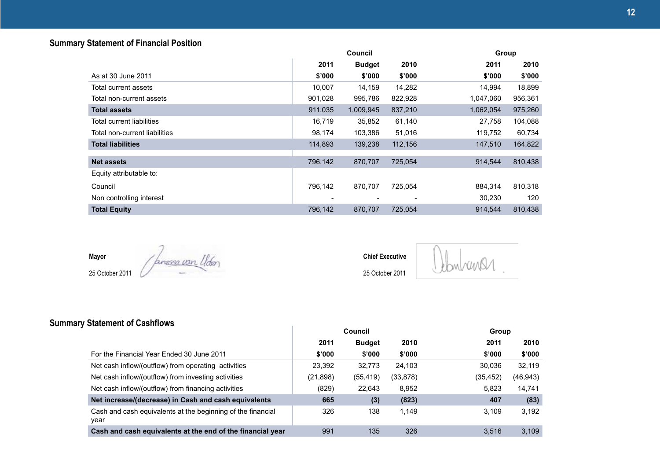## **Summary Statement of Financial Position**

|                               |         | Council       |         | Group     |         |
|-------------------------------|---------|---------------|---------|-----------|---------|
|                               | 2011    | <b>Budget</b> | 2010    | 2011      | 2010    |
| As at 30 June 2011            | \$'000  | \$'000        | \$'000  | \$'000    | \$'000  |
| Total current assets          | 10,007  | 14,159        | 14,282  | 14,994    | 18,899  |
| Total non-current assets      | 901,028 | 995,786       | 822,928 | 1,047,060 | 956,361 |
| <b>Total assets</b>           | 911,035 | 1,009,945     | 837,210 | 1,062,054 | 975,260 |
| Total current liabilities     | 16,719  | 35,852        | 61,140  | 27,758    | 104,088 |
| Total non-current liabilities | 98,174  | 103,386       | 51,016  | 119,752   | 60,734  |
| <b>Total liabilities</b>      | 114,893 | 139,238       | 112,156 | 147,510   | 164,822 |
|                               |         |               |         |           |         |
| <b>Net assets</b>             | 796,142 | 870,707       | 725,054 | 914,544   | 810,438 |
| Equity attributable to:       |         |               |         |           |         |
| Council                       | 796,142 | 870,707       | 725,054 | 884,314   | 810,318 |
| Non controlling interest      |         |               |         | 30,230    | 120     |
| <b>Total Equity</b>           | 796,142 | 870,707       | 725,054 | 914,544   | 810,438 |

**Mayor**

25 October 2011

Janes<u>sa wan U</u>lden

**Chief Executive** 25 October 2011

Johnhansen

## **Summary Statement of Cashflows**

|                                                                     |           | Council       |          | Group    |           |
|---------------------------------------------------------------------|-----------|---------------|----------|----------|-----------|
|                                                                     | 2011      | <b>Budget</b> | 2010     | 2011     | 2010      |
| For the Financial Year Ended 30 June 2011                           | \$'000    | \$'000        | \$'000   | \$'000   | \$'000    |
| Net cash inflow/(outflow) from operating activities                 | 23.392    | 32.773        | 24.103   | 30.036   | 32.119    |
| Net cash inflow/(outflow) from investing activities                 | (21, 898) | (55, 419)     | (33,878) | (35,452) | (46, 943) |
| Net cash inflow/(outflow) from financing activities                 | (829)     | 22.643        | 8.952    | 5.823    | 14,741    |
| Net increase/(decrease) in Cash and cash equivalents                | 665       | (3)           | (823)    | 407      | (83)      |
| Cash and cash equivalents at the beginning of the financial<br>vear | 326       | 138           | 1.149    | 3.109    | 3,192     |
| Cash and cash equivalents at the end of the financial year          | 991       | 135           | 326      | 3.516    | 3.109     |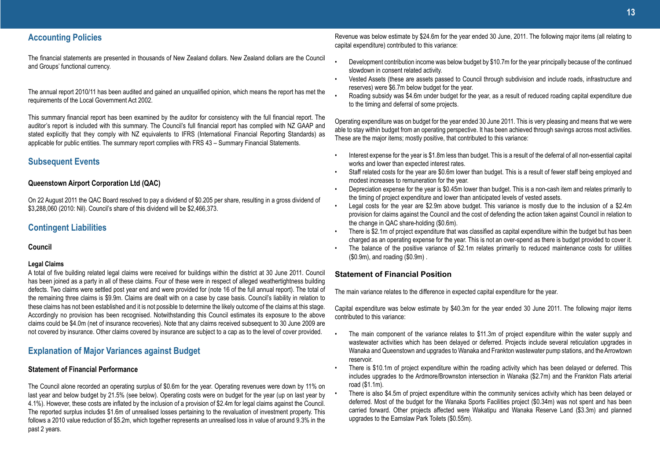### **Accounting Policies**

The financial statements are presented in thousands of New Zealand dollars. New Zealand dollars are the Council and Groups' functional currency.

The annual report 2010/11 has been audited and gained an unqualified opinion, which means the report has met the requirements of the Local Government Act 2002.

This summary financial report has been examined by the auditor for consistency with the full financial report. The auditor's report is included with this summary. The Council's full financial report has complied with NZ GAAP and stated explicitly that they comply with NZ equivalents to IFRS (International Financial Reporting Standards) as applicable for public entities. The summary report complies with FRS 43 – Summary Financial Statements.

### **Subsequent Events**

### **Queenstown Airport Corporation Ltd (QAC)**

On 22 August 2011 the QAC Board resolved to pay a dividend of \$0.205 per share, resulting in a gross dividend of \$3,288,060 (2010: Nil). Council's share of this dividend will be \$2,466,373.

### **Contingent Liabilities**

**Council**

### **Legal Claims**

A total of five building related legal claims were received for buildings within the district at 30 June 2011. Council has been joined as a party in all of these claims. Four of these were in respect of alleged weathertightness building defects. Two claims were settled post year end and were provided for (note 16 of the full annual report). The total of the remaining three claims is \$9.9m. Claims are dealt with on a case by case basis. Council's liability in relation to these claims has not been established and it is not possible to determine the likely outcome of the claims at this stage. Accordingly no provision has been recognised. Notwithstanding this Council estimates its exposure to the above claims could be \$4.0m (net of insurance recoveries). Note that any claims received subsequent to 30 June 2009 are not covered by insurance. Other claims covered by insurance are subject to a cap as to the level of cover provided.

### **Explanation of Major Variances against Budget**

### **Statement of Financial Performance**

The Council alone recorded an operating surplus of \$0.6m for the year. Operating revenues were down by 11% on last year and below budget by 21.5% (see below). Operating costs were on budget for the year (up on last year by 4.1%). However, these costs are inflated by the inclusion of a provision of \$2.4m for legal claims against the Council. The reported surplus includes \$1.6m of unrealised losses pertaining to the revaluation of investment property. This follows a 2010 value reduction of \$5.2m, which together represents an unrealised loss in value of around 9.3% in the past 2 years.

Revenue was below estimate by \$24.6m for the year ended 30 June, 2011. The following major items (all relating to capital expenditure) contributed to this variance:

- Development contribution income was below budget by \$10.7m for the year principally because of the continued slowdown in consent related activity.
- Vested Assets (these are assets passed to Council through subdivision and include roads, infrastructure and reserves) were \$6.7m below budget for the year.
- Roading subsidy was \$4.6m under budget for the year, as a result of reduced roading capital expenditure due to the timing and deferral of some projects.

Operating expenditure was on budget for the year ended 30 June 2011. This is very pleasing and means that we were able to stay within budget from an operating perspective. It has been achieved through savings across most activities. These are the major items; mostly positive, that contributed to this variance:

- Interest expense for the year is \$1.8m less than budget. This is a result of the deferral of all non-essential capital works and lower than expected interest rates.
- Staff related costs for the year are \$0.6m lower than budget. This is a result of fewer staff being employed and modest increases to remuneration for the year.
- Depreciation expense for the year is \$0.45m lower than budget. This is a non-cash item and relates primarily to the timing of project expenditure and lower than anticipated levels of vested assets.
- Legal costs for the year are \$2.9m above budget. This variance is mostly due to the inclusion of a \$2.4m provision for claims against the Council and the cost of defending the action taken against Council in relation to the change in QAC share-holding (\$0.6m).
- There is \$2.1m of project expenditure that was classified as capital expenditure within the budget but has been charged as an operating expense for the year. This is not an over-spend as there is budget provided to cover it.
- The balance of the positive variance of \$2.1m relates primarily to reduced maintenance costs for utilities (\$0.9m), and roading (\$0.9m) .

### **Statement of Financial Position**

The main variance relates to the difference in expected capital expenditure for the year.

Capital expenditure was below estimate by \$40.3m for the year ended 30 June 2011. The following major items contributed to this variance:

- The main component of the variance relates to \$11.3m of project expenditure within the water supply and wastewater activities which has been delayed or deferred. Projects include several reticulation upgrades in Wanaka and Queenstown and upgrades to Wanaka and Frankton wastewater pump stations, and the Arrowtown reservoir.
- There is \$10.1m of project expenditure within the roading activity which has been delayed or deferred. This includes upgrades to the Ardmore/Brownston intersection in Wanaka (\$2.7m) and the Frankton Flats arterial road (\$1.1m).
- There is also \$4.5m of project expenditure within the community services activity which has been delayed or deferred. Most of the budget for the Wanaka Sports Facilities project (\$0.34m) was not spent and has been carried forward. Other projects affected were Wakatipu and Wanaka Reserve Land (\$3.3m) and planned upgrades to the Earnslaw Park Toilets (\$0.55m).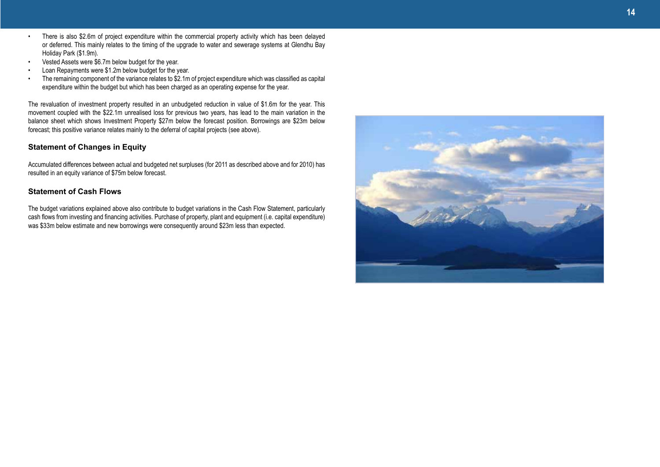- There is also \$2.6m of project expenditure within the commercial property activity which has been delayed or deferred. This mainly relates to the timing of the upgrade to water and sewerage systems at Glendhu Bay Holiday Park (\$1.9m).
- Vested Assets were \$6.7m below budget for the year.
- Loan Repayments were \$1.2m below budget for the year.
- The remaining component of the variance relates to \$2.1m of project expenditure which was classified as capital expenditure within the budget but which has been charged as an operating expense for the year.

The revaluation of investment property resulted in an unbudgeted reduction in value of \$1.6m for the year. This movement coupled with the \$22.1m unrealised loss for previous two years, has lead to the main variation in the balance sheet which shows Investment Property \$27m below the forecast position. Borrowings are \$23m below forecast; this positive variance relates mainly to the deferral of capital projects (see above).

### **Statement of Changes in Equity**

Accumulated differences between actual and budgeted net surpluses (for 2011 as described above and for 2010) has resulted in an equity variance of \$75m below forecast.

### **Statement of Cash Flows**

The budget variations explained above also contribute to budget variations in the Cash Flow Statement, particularly cash flows from investing and financing activities. Purchase of property, plant and equipment (i.e. capital expenditure) was \$33m below estimate and new borrowings were consequently around \$23m less than expected.

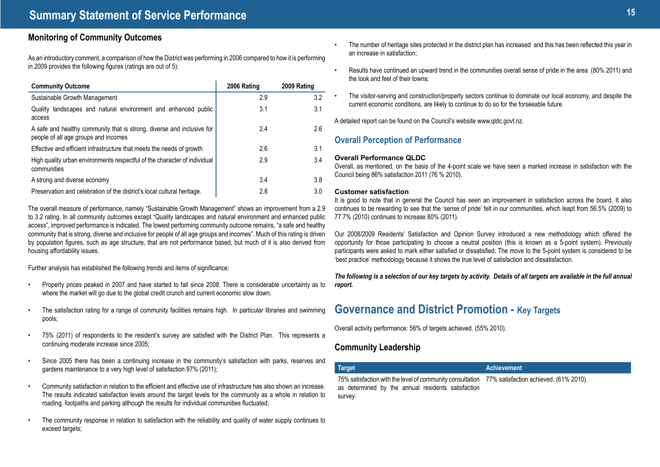### **Monitoring of Community Outcomes**

As an introductory comment, a comparison of how the District was performing in 2006 compared to how it is performing in 2009 provides the following figures (ratings are out of 5):

| <b>Community Outcome</b>                                                                                       | 2006 Rating | 2009 Rating |
|----------------------------------------------------------------------------------------------------------------|-------------|-------------|
| Sustainable Growth Management                                                                                  | 2.9         | 3.2         |
| Quality landscapes and natural environment and enhanced public<br>access                                       | 3.1         | 3.1         |
| A safe and healthy community that is strong, diverse and inclusive for<br>people of all age groups and incomes | 2.4         | 2.6         |
| Effective and efficient infrastructure that meets the needs of growth                                          | 2.6         | 3.1         |
| High quality urban environments respectful of the character of individual<br>communities                       | 2.9         | 3.4         |
| A strong and diverse economy                                                                                   | 3.4         | 3.8         |
| Preservation and celebration of the district's local cultural heritage.                                        | 2.8         | 3.0         |

The overall measure of performance, namely "Sustainable Growth Management" shows an improvement from a 2.9 to 3.2 rating. In all community outcomes except "Quality landscapes and natural environment and enhanced public access", improved performance is indicated. The lowest performing community outcome remains, "a safe and healthy community that is strong, diverse and inclusive for people of all age groups and incomes". Much of this rating is driven by population figures, such as age structure, that are not performance based, but much of it is also derived from housing affordability issues.

Further analysis has established the following trends and items of significance:

- Property prices peaked in 2007 and have started to fall since 2008. There is considerable uncertainty as to where the market will go due to the global credit crunch and current economic slow down;
- The satisfaction rating for a range of community facilities remains high. In particular libraries and swimming pools;
- 75% (2011) of respondents to the resident's survey are satisfied with the District Plan. This represents a continuing moderate increase since 2005;
- Since 2005 there has been a continuing increase in the community's satisfaction with parks, reserves and gardens maintenance to a very high level of satisfaction 97% (2011);
- Community satisfaction in relation to the efficient and effective use of infrastructure has also shown an increase. The results indicated satisfaction levels around the target levels for the community as a whole in relation to roading, footpaths and parking although the results for individual communities fluctuated;
- The community response in relation to satisfaction with the reliability and quality of water supply continues to exceed targets:
- The number of heritage sites protected in the district plan has increased and this has been reflected this year in an increase in satisfaction;
- Results have continued an upward trend in the communities overall sense of pride in the area (80% 2011) and the look and feel of their towns;
- The visitor-serving and construction/property sectors continue to dominate our local economy, and despite the current economic conditions, are likely to continue to do so for the forseeable future.

A detailed report can be found on the Council's website www.qldc.govt.nz.

### **Overall Perception of Performance**

### **Overall Performance QLDC**

Overall, as mentioned, on the basis of the 4-point scale we have seen a marked increase in satisfaction with the Council being 86% satisfaction 2011 (76 % 2010).

### **Customer satisfaction**

It is good to note that in general the Council has seen an improvement in satisfaction across the board. It also continues to be rewarding to see that the 'sense of pride' felt in our communities, which leapt from 56.5% (2009) to 77.7% (2010) continues to increase 80% (2011).

Our 2008/2009 Residents' Satisfaction and Opinion Survey introduced a new methodology which offered the opportunity for those participating to choose a neutral position (this is known as a 5-point system). Previously participants were asked to mark either satisfied or dissatisfied. The move to the 5-point system is considered to be 'best practice' methodology because it shows the true level of satisfaction and dissatisfaction.

*The following is a selection of our key targets by activity. Details of all targets are available in the full annual report.*

## **Governance and District Promotion - Key Targets**

Overall activity performance: 56% of targets achieved. (55% 2010).

### **Community Leadership**

| <b>Target</b>                                                                                                                                          | Achievement |
|--------------------------------------------------------------------------------------------------------------------------------------------------------|-------------|
| 75% satisfaction with the level of community consultation 77% satisfaction achieved. (61% 2010).<br>as determined by the annual residents satisfaction |             |
| survey.                                                                                                                                                |             |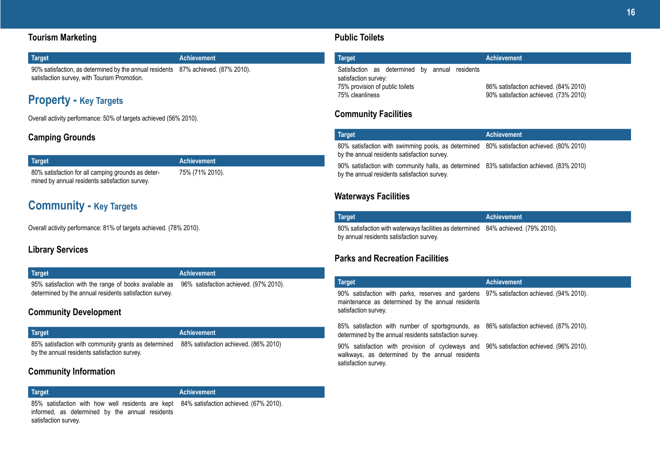### **Tourism Marketing**

| Target                                                                            | <b>Achievement</b> |
|-----------------------------------------------------------------------------------|--------------------|
| 90% satisfaction, as determined by the annual residents 87% achieved. (87% 2010). |                    |
| satisfaction survey, with Tourism Promotion.                                      |                    |

## **Property - Key Targets**

Overall activity performance: 50% of targets achieved (56% 2010).

### **Camping Grounds**

| <b>Target</b>                                      |
|----------------------------------------------------|
| 80% satisfaction for all camping grounds as deter- |
| mined by annual residents satisfaction survey.     |

75% (71% 2010).

**Target Achievement**

## **Community - Key Targets**

Overall activity performance: 81% of targets achieved. (78% 2010).

## **Library Services**

### **Target Achievement**

95% satisfaction with the range of books available as 96% satisfaction achieved. (97% 2010). determined by the annual residents satisfaction survey.

### **Community Development**

| Target                                                                                               | <b>Achievement</b>                    |
|------------------------------------------------------------------------------------------------------|---------------------------------------|
| 85% satisfaction with community grants as determined<br>by the annual residents satisfaction survey. | 88% satisfaction achieved. (86% 2010) |

### **Community Information**

### **Target Achievement**

85% satisfaction with how well residents are kept 84% satisfaction achieved. (67% 2010). informed, as determined by the annual residents satisfaction survey.

### **Public Toilets**

| <b>Target</b>                                                                                                                |  | <b>Achievement</b>                                                             |
|------------------------------------------------------------------------------------------------------------------------------|--|--------------------------------------------------------------------------------|
| Satisfaction as determined by annual residents<br>satisfaction survey:<br>75% provision of public toilets<br>75% cleanliness |  | 86% satisfaction achieved. (84% 2010)<br>90% satisfaction achieved. (73% 2010) |

### **Community Facilities**

| Target                                                                                                                                     | <b>Achievement</b> |
|--------------------------------------------------------------------------------------------------------------------------------------------|--------------------|
| 80% satisfaction with swimming pools, as determined 80% satisfaction achieved. (80% 2010)<br>by the annual residents satisfaction survey.  |                    |
| 90% satisfaction with community halls, as determined 83% satisfaction achieved. (83% 2010)<br>by the annual residents satisfaction survey. |                    |

### **Waterways Facilities**

| <b>Target</b>                                                                      | Achievement |
|------------------------------------------------------------------------------------|-------------|
| 80% satisfaction with waterways facilities as determined 84% achieved. (79% 2010). |             |
| by annual residents satisfaction survey.                                           |             |

### **Parks and Recreation Facilities**

| <b>Target</b>                                                                                                                                                         | <b>Achievement</b> |
|-----------------------------------------------------------------------------------------------------------------------------------------------------------------------|--------------------|
| 90% satisfaction with parks, reserves and gardens 97% satisfaction achieved. (94% 2010).<br>maintenance as determined by the annual residents<br>satisfaction survey. |                    |
| 85% satisfaction with number of sportsgrounds, as 86% satisfaction achieved. (87% 2010).<br>determined by the annual residents satisfaction survey.                   |                    |
| 90% satisfaction with provision of cycleways and 96% satisfaction achieved. (96% 2010).<br>walkways, as determined by the annual residents<br>satisfaction survey.    |                    |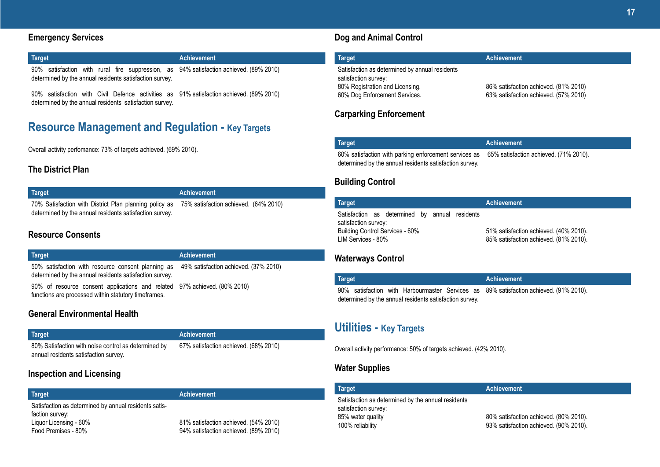### **Emergency Services**

### **Target Achievement** 90% satisfaction with rural fire suppression, as 94% satisfaction achieved. (89% 2010)

determined by the annual residents satisfaction survey.

90% satisfaction with Civil Defence activities as 91% satisfaction achieved. (89% 2010) determined by the annual residents satisfaction survey.

## **Resource Management and Regulation - Key Targets**

Overall activity perfomance: 73% of targets achieved. (69% 2010).

## **The District Plan**

| Target                                                                                       | <b>Achievement</b> |  |
|----------------------------------------------------------------------------------------------|--------------------|--|
| 70% Satisfaction with District Plan planning policy as 75% satisfaction achieved. (64% 2010) |                    |  |
| determined by the annual residents satisfaction survey.                                      |                    |  |

### **Resource Consents**

| Target                                                                                                                                              | <b>Achievement</b> |
|-----------------------------------------------------------------------------------------------------------------------------------------------------|--------------------|
| 50% satisfaction with resource consent planning as 49% satisfaction achieved. (37% 2010)<br>determined by the annual residents satisfaction survey. |                    |
| 90% of resource consent applications and related 97% achieved. (80% 2010)<br>functions are processed within statutory timeframes.                   |                    |

### **General Environmental Health**

| Target                                               | Achievement                           |
|------------------------------------------------------|---------------------------------------|
| 80% Satisfaction with noise control as determined by | 67% satisfaction achieved. (68% 2010) |
| annual residents satisfaction survey.                |                                       |

### **Inspection and Licensing**

| <b>Target</b>                                                                                                             | <b>Achievement</b>                                                             |
|---------------------------------------------------------------------------------------------------------------------------|--------------------------------------------------------------------------------|
| Satisfaction as determined by annual residents satis-<br>faction survey:<br>Liguor Licensing - 60%<br>Food Premises - 80% | 81% satisfaction achieved. (54% 2010)<br>94% satisfaction achieved. (89% 2010) |

### **Dog and Animal Control**

| <b>Target</b>                                  | <b>Achievement</b>                    |
|------------------------------------------------|---------------------------------------|
| Satisfaction as determined by annual residents |                                       |
| satisfaction survey:                           |                                       |
| 80% Registration and Licensing.                | 86% satisfaction achieved. (81% 2010) |
| 60% Dog Enforcement Services.                  | 63% satisfaction achieved. (57% 2010) |

### **Carparking Enforcement**

| Target                                                                                                                                                  | Achievement |
|---------------------------------------------------------------------------------------------------------------------------------------------------------|-------------|
| 60% satisfaction with parking enforcement services as 65% satisfaction achieved. (71% 2010).<br>determined by the annual residents satisfaction survey. |             |

### **Building Control**

| <b>Target</b>                                                                                                                   | <b>Achievement</b>                                                               |
|---------------------------------------------------------------------------------------------------------------------------------|----------------------------------------------------------------------------------|
| Satisfaction as determined by annual residents<br>satisfaction survey:<br>Building Control Services - 60%<br>LIM Services - 80% | 51% satisfaction achieved. (40% 2010).<br>85% satisfaction achieved. (81% 2010). |

### **Waterways Control**

| <b>Target</b>                                           |  |  |  |  |  | Achievement                                                                            |
|---------------------------------------------------------|--|--|--|--|--|----------------------------------------------------------------------------------------|
|                                                         |  |  |  |  |  | 90% satisfaction with Harbourmaster Services as 89% satisfaction achieved. (91% 2010). |
| determined by the annual residents satisfaction survey. |  |  |  |  |  |                                                                                        |

## **Utilities - Key Targets**

Overall activity performance: 50% of targets achieved. (42% 2010).

### **Water Supplies**

| <b>Target</b>                                                                                                       | <b>Achievement</b>                                                               |
|---------------------------------------------------------------------------------------------------------------------|----------------------------------------------------------------------------------|
| Satisfaction as determined by the annual residents<br>satisfaction survey:<br>85% water quality<br>100% reliability | 80% satisfaction achieved. (80% 2010).<br>93% satisfaction achieved. (90% 2010). |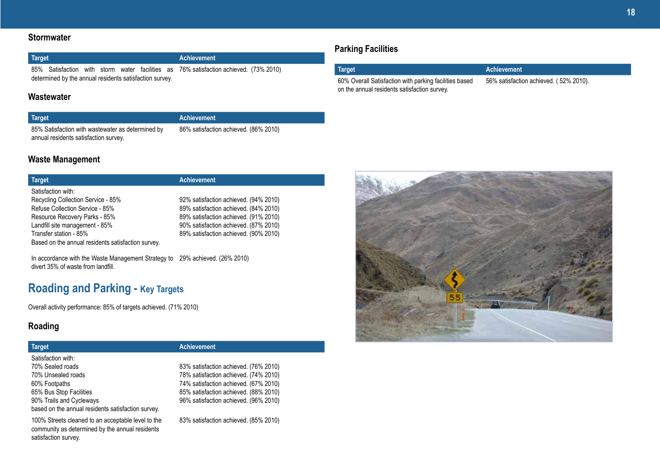### **Stormwater**

| Target                                                  |  |  |  |  | Achievement |  |                                                                                       |  |
|---------------------------------------------------------|--|--|--|--|-------------|--|---------------------------------------------------------------------------------------|--|
|                                                         |  |  |  |  |             |  | 85% Satisfaction with storm water facilities as 76% satisfaction achieved. (73% 2010) |  |
| determined by the annual residents satisfaction survey. |  |  |  |  |             |  |                                                                                       |  |

### **Wastewater**

85% Satisfaction with wastewater as determined by annual residents satisfaction survey.

**Target Achievement** 86% satisfaction achieved. (86% 2010)

### **Waste Management**

### **Target Achievement** Satisfaction with: Recycling Collection Service - 85% Refuse Collection Service - 85% Resource Recovery Parks - 85% Landfill site management - 85% Transfer station - 85% 92% satisfaction achieved. (94% 2010)

Based on the annual residents satisfaction survey.

89% satisfaction achieved. (84% 2010) 89% satisfaction achieved. (91% 2010) 90% satisfaction achieved. (87% 2010) 89% satisfaction achieved. (90% 2010)

In accordance with the Waste Management Strategy to 29% achieved. (26% 2010) divert 35% of waste from landfill.

## **Roading and Parking - Key Targets**

Overall activity performance: 85% of targets achieved. (71% 2010)

### **Roading**

### **Target Achievement**

| Satisfaction with:                                 |                                       |
|----------------------------------------------------|---------------------------------------|
| 70% Sealed roads                                   | 83% satisfaction achieved. (76% 2010) |
| 70% Unsealed roads                                 | 78% satisfaction achieved. (74% 2010) |
| 60% Footpaths                                      | 74% satisfaction achieved. (67% 2010) |
| 65% Bus Stop Facilities                            | 85% satisfaction achieved. (88% 2010) |
| 90% Trails and Cycleways                           | 96% satisfaction achieved. (96% 2010) |
| based on the annual residents satisfaction survey. |                                       |
| $\mathcal{A} \cap \mathcal{A} \cap \mathcal{A}$    |                                       |

100% Streets cleaned to an acceptable level to the community as determined by the annual residents satisfaction survey.

83% satisfaction achieved. (85% 2010)

## **Parking Facilities**

| Target                                                 | <b>Achievement</b>                     |
|--------------------------------------------------------|----------------------------------------|
| 60% Overall Satisfaction with parking facilities based | 56% satisfaction achieved. (52% 2010). |
| on the annual residents satisfaction survey.           |                                        |